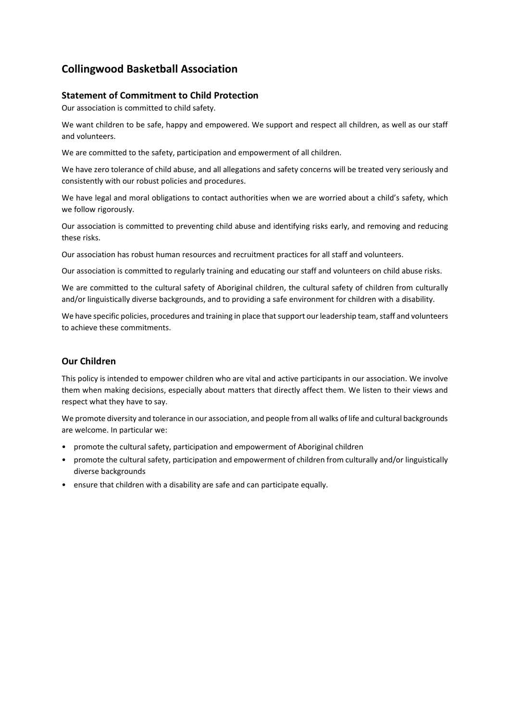# **Collingwood Basketball Association**

# **Statement of Commitment to Child Protection**

Our association is committed to child safety.

We want children to be safe, happy and empowered. We support and respect all children, as well as our staff and volunteers.

We are committed to the safety, participation and empowerment of all children.

We have zero tolerance of child abuse, and all allegations and safety concerns will be treated very seriously and consistently with our robust policies and procedures.

We have legal and moral obligations to contact authorities when we are worried about a child's safety, which we follow rigorously.

Our association is committed to preventing child abuse and identifying risks early, and removing and reducing these risks.

Our association has robust human resources and recruitment practices for all staff and volunteers.

Our association is committed to regularly training and educating our staff and volunteers on child abuse risks.

We are committed to the cultural safety of Aboriginal children, the cultural safety of children from culturally and/or linguistically diverse backgrounds, and to providing a safe environment for children with a disability.

We have specific policies, procedures and training in place that support our leadership team, staff and volunteers to achieve these commitments.

# **Our Children**

This policy is intended to empower children who are vital and active participants in our association. We involve them when making decisions, especially about matters that directly affect them. We listen to their views and respect what they have to say.

We promote diversity and tolerance in our association, and people from all walks of life and cultural backgrounds are welcome. In particular we:

- promote the cultural safety, participation and empowerment of Aboriginal children
- promote the cultural safety, participation and empowerment of children from culturally and/or linguistically diverse backgrounds
- ensure that children with a disability are safe and can participate equally.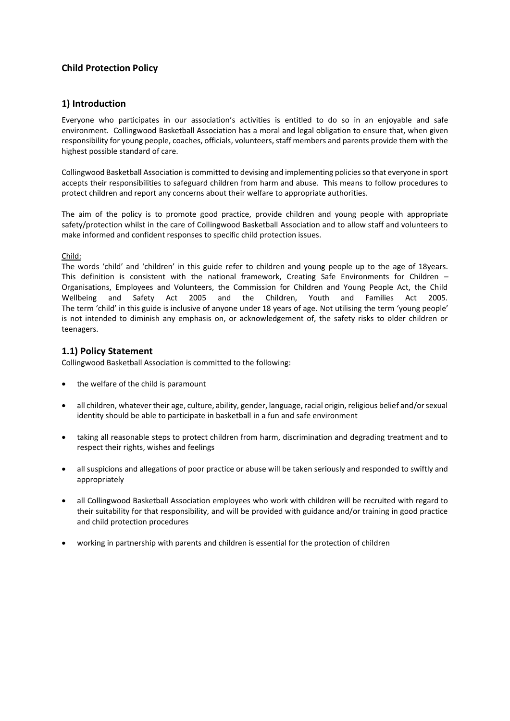# **Child Protection Policy**

### **1) Introduction**

Everyone who participates in our association's activities is entitled to do so in an enjoyable and safe environment. Collingwood Basketball Association has a moral and legal obligation to ensure that, when given responsibility for young people, coaches, officials, volunteers, staff members and parents provide them with the highest possible standard of care.

Collingwood Basketball Association is committed to devising and implementing policies so that everyone in sport accepts their responsibilities to safeguard children from harm and abuse. This means to follow procedures to protect children and report any concerns about their welfare to appropriate authorities.

The aim of the policy is to promote good practice, provide children and young people with appropriate safety/protection whilst in the care of Collingwood Basketball Association and to allow staff and volunteers to make informed and confident responses to specific child protection issues.

#### Child:

The words 'child' and 'children' in this guide refer to children and young people up to the age of 18years. This definition is consistent with the national framework, Creating Safe Environments for Children – Organisations, Employees and Volunteers, the Commission for Children and Young People Act, the Child Wellbeing and Safety Act 2005 and the Children, Youth and Families Act 2005. The term 'child' in this guide is inclusive of anyone under 18 years of age. Not utilising the term 'young people' is not intended to diminish any emphasis on, or acknowledgement of, the safety risks to older children or teenagers.

# **1.1) Policy Statement**

Collingwood Basketball Association is committed to the following:

- the welfare of the child is paramount
- all children, whatever their age, culture, ability, gender, language, racial origin, religious belief and/or sexual identity should be able to participate in basketball in a fun and safe environment
- taking all reasonable steps to protect children from harm, discrimination and degrading treatment and to respect their rights, wishes and feelings
- all suspicions and allegations of poor practice or abuse will be taken seriously and responded to swiftly and appropriately
- all Collingwood Basketball Association employees who work with children will be recruited with regard to their suitability for that responsibility, and will be provided with guidance and/or training in good practice and child protection procedures
- working in partnership with parents and children is essential for the protection of children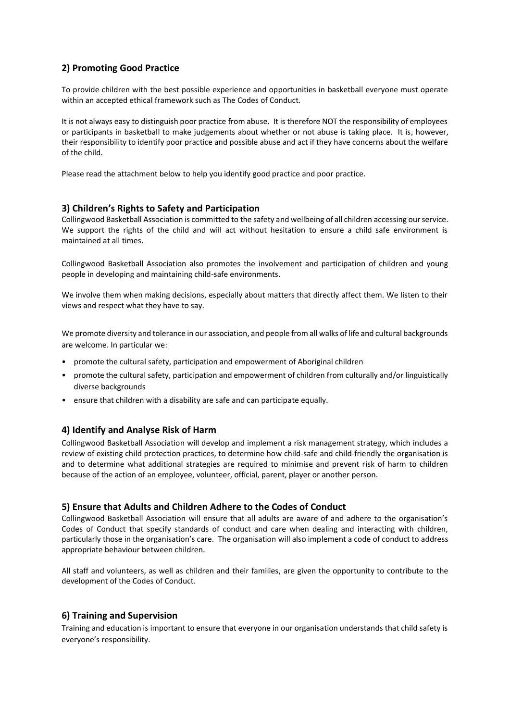# **2) Promoting Good Practice**

To provide children with the best possible experience and opportunities in basketball everyone must operate within an accepted ethical framework such as The Codes of Conduct.

It is not always easy to distinguish poor practice from abuse. It is therefore NOT the responsibility of employees or participants in basketball to make judgements about whether or not abuse is taking place. It is, however, their responsibility to identify poor practice and possible abuse and act if they have concerns about the welfare of the child.

Please read the attachment below to help you identify good practice and poor practice.

#### **3) Children's Rights to Safety and Participation**

Collingwood Basketball Association is committed to the safety and wellbeing of all children accessing our service. We support the rights of the child and will act without hesitation to ensure a child safe environment is maintained at all times.

Collingwood Basketball Association also promotes the involvement and participation of children and young people in developing and maintaining child-safe environments.

We involve them when making decisions, especially about matters that directly affect them. We listen to their views and respect what they have to say.

We promote diversity and tolerance in our association, and people from all walks of life and cultural backgrounds are welcome. In particular we:

- promote the cultural safety, participation and empowerment of Aboriginal children
- promote the cultural safety, participation and empowerment of children from culturally and/or linguistically diverse backgrounds
- ensure that children with a disability are safe and can participate equally.

### **4) Identify and Analyse Risk of Harm**

Collingwood Basketball Association will develop and implement a risk management strategy, which includes a review of existing child protection practices, to determine how child-safe and child-friendly the organisation is and to determine what additional strategies are required to minimise and prevent risk of harm to children because of the action of an employee, volunteer, official, parent, player or another person.

#### **5) Ensure that Adults and Children Adhere to the Codes of Conduct**

Collingwood Basketball Association will ensure that all adults are aware of and adhere to the organisation's Codes of Conduct that specify standards of conduct and care when dealing and interacting with children, particularly those in the organisation's care. The organisation will also implement a code of conduct to address appropriate behaviour between children.

All staff and volunteers, as well as children and their families, are given the opportunity to contribute to the development of the Codes of Conduct.

#### **6) Training and Supervision**

Training and education is important to ensure that everyone in our organisation understands that child safety is everyone's responsibility.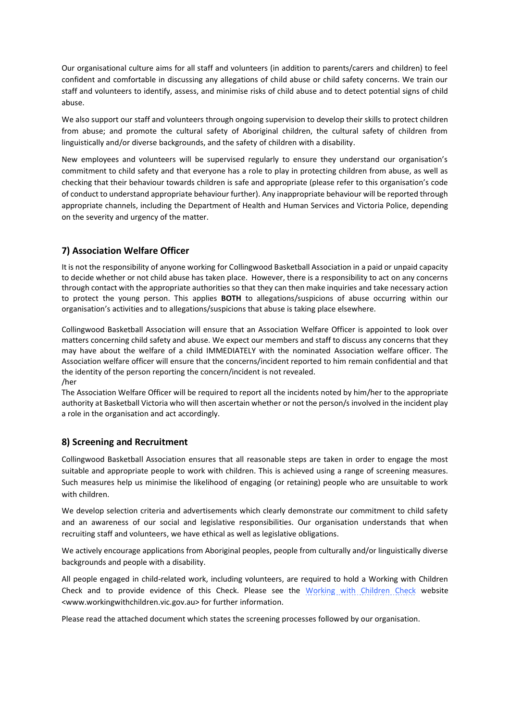Our organisational culture aims for all staff and volunteers (in addition to parents/carers and children) to feel confident and comfortable in discussing any allegations of child abuse or child safety concerns. We train our staff and volunteers to identify, assess, and minimise risks of child abuse and to detect potential signs of child abuse.

We also support our staff and volunteers through ongoing supervision to develop their skills to protect children from abuse; and promote the cultural safety of Aboriginal children, the cultural safety of children from linguistically and/or diverse backgrounds, and the safety of children with a disability.

New employees and volunteers will be supervised regularly to ensure they understand our organisation's commitment to child safety and that everyone has a role to play in protecting children from abuse, as well as checking that their behaviour towards children is safe and appropriate (please refer to this organisation's code of conduct to understand appropriate behaviour further). Any inappropriate behaviour will be reported through appropriate channels, including the Department of Health and Human Services and Victoria Police, depending on the severity and urgency of the matter.

# **7) Association Welfare Officer**

It is not the responsibility of anyone working for Collingwood Basketball Association in a paid or unpaid capacity to decide whether or not child abuse has taken place. However, there is a responsibility to act on any concerns through contact with the appropriate authorities so that they can then make inquiries and take necessary action to protect the young person. This applies **BOTH** to allegations/suspicions of abuse occurring within our organisation's activities and to allegations/suspicions that abuse is taking place elsewhere.

Collingwood Basketball Association will ensure that an Association Welfare Officer is appointed to look over matters concerning child safety and abuse. We expect our members and staff to discuss any concerns that they may have about the welfare of a child IMMEDIATELY with the nominated Association welfare officer. The Association welfare officer will ensure that the concerns/incident reported to him remain confidential and that the identity of the person reporting the concern/incident is not revealed. /her

The Association Welfare Officer will be required to report all the incidents noted by him/her to the appropriate authority at Basketball Victoria who will then ascertain whether or not the person/s involved in the incident play a role in the organisation and act accordingly.

# **8) Screening and Recruitment**

Collingwood Basketball Association ensures that all reasonable steps are taken in order to engage the most suitable and appropriate people to work with children. This is achieved using a range of screening measures. Such measures help us minimise the likelihood of engaging (or retaining) people who are unsuitable to work with children.

We develop selection criteria and advertisements which clearly demonstrate our commitment to child safety and an awareness of our social and legislative responsibilities. Our organisation understands that when recruiting staff and volunteers, we have ethical as well as legislative obligations.

We actively encourage applications from Aboriginal peoples, people from culturally and/or linguistically diverse backgrounds and people with a disability.

All people engaged in child-related work, including volunteers, are required to hold a Working with Children Check and to provide evidence of this Check. Please see the [Working with Children Check](http://www.workingwithchildren.vic.gov.au/) website <www.workingwithchildren.vic.gov.au> for further information.

Please read the attached document which states the screening processes followed by our organisation.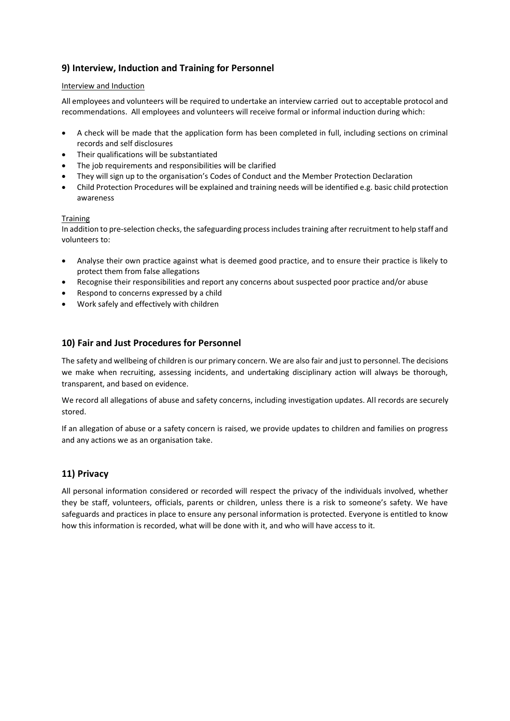# **9) Interview, Induction and Training for Personnel**

#### Interview and Induction

All employees and volunteers will be required to undertake an interview carried out to acceptable protocol and recommendations. All employees and volunteers will receive formal or informal induction during which:

- A check will be made that the application form has been completed in full, including sections on criminal records and self disclosures
- Their qualifications will be substantiated
- The job requirements and responsibilities will be clarified
- They will sign up to the organisation's Codes of Conduct and the Member Protection Declaration
- Child Protection Procedures will be explained and training needs will be identified e.g. basic child protection awareness

### **Training**

In addition to pre-selection checks, the safeguarding process includes training after recruitment to help staff and volunteers to:

- Analyse their own practice against what is deemed good practice, and to ensure their practice is likely to protect them from false allegations
- Recognise their responsibilities and report any concerns about suspected poor practice and/or abuse
- Respond to concerns expressed by a child
- Work safely and effectively with children

# **10) Fair and Just Procedures for Personnel**

The safety and wellbeing of children is our primary concern. We are also fair and just to personnel. The decisions we make when recruiting, assessing incidents, and undertaking disciplinary action will always be thorough, transparent, and based on evidence.

We record all allegations of abuse and safety concerns, including investigation updates. All records are securely stored.

If an allegation of abuse or a safety concern is raised, we provide updates to children and families on progress and any actions we as an organisation take.

# **11) Privacy**

All personal information considered or recorded will respect the privacy of the individuals involved, whether they be staff, volunteers, officials, parents or children, unless there is a risk to someone's safety. We have safeguards and practices in place to ensure any personal information is protected. Everyone is entitled to know how this information is recorded, what will be done with it, and who will have access to it.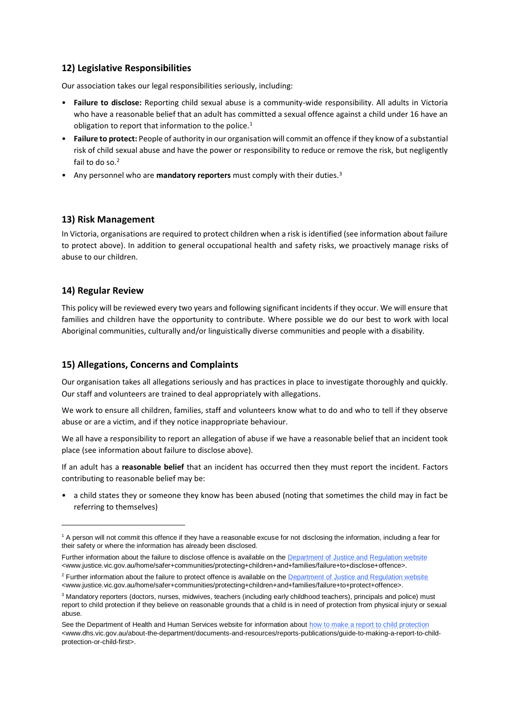# **12) Legislative Responsibilities**

Our association takes our legal responsibilities seriously, including:

- **Failure to disclose:** Reporting child sexual abuse is a community-wide responsibility. All adults in Victoria who have a reasonable belief that an adult has committed a sexual offence against a child under 16 have an obligation to report that information to the police.<sup>1</sup>
- **Failure to protect:** People of authority in our organisation will commit an offence if they know of a substantial risk of child sexual abuse and have the power or responsibility to reduce or remove the risk, but negligently fail to do so.<sup>2</sup>
- Any personnel who are **mandatory reporters** must comply with their duties.<sup>3</sup>

# **13) Risk Management**

In Victoria, organisations are required to protect children when a risk is identified (see information about failure to protect above). In addition to general occupational health and safety risks, we proactively manage risks of abuse to our children.

# **14) Regular Review**

1

This policy will be reviewed every two years and following significant incidents if they occur. We will ensure that families and children have the opportunity to contribute. Where possible we do our best to work with local Aboriginal communities, culturally and/or linguistically diverse communities and people with a disability.

# **15) Allegations, Concerns and Complaints**

Our organisation takes all allegations seriously and has practices in place to investigate thoroughly and quickly. Our staff and volunteers are trained to deal appropriately with allegations.

We work to ensure all children, families, staff and volunteers know what to do and who to tell if they observe abuse or are a victim, and if they notice inappropriate behaviour.

We all have a responsibility to report an allegation of abuse if we have a reasonable belief that an incident took place (see information about failure to disclose above).

If an adult has a **reasonable belief** that an incident has occurred then they must report the incident. Factors contributing to reasonable belief may be:

• a child states they or someone they know has been abused (noting that sometimes the child may in fact be referring to themselves)

<sup>1</sup> A person will not commit this offence if they have a reasonable excuse for not disclosing the information, including a fear for their safety or where the information has already been disclosed.

Further information about the failure to disclose offence is available on the [Department of Justice and Regulation website](http://www.justice.vic.gov.au/home/safer+communities/protecting+children+and+families/failure+to+disclose+offence) <www.justice.vic.gov.au/home/safer+communities/protecting+children+and+families/failure+to+disclose+offence>.

<sup>&</sup>lt;sup>2</sup> Further information about the failure to protect offence is available on th[e Department of Justice and Regulation website](http://www.justice.vic.gov.au/home/safer+communities/protecting+children+and+families/failure+to+protect+offence) <www.justice.vic.gov.au/home/safer+communities/protecting+children+and+families/failure+to+protect+offence>.

<sup>3</sup> Mandatory reporters (doctors, nurses, midwives, teachers (including early childhood teachers), principals and police) must report to child protection if they believe on reasonable grounds that a child is in need of protection from physical injury or sexual abuse.

See the Department of Health and Human Services website for information about [how to make a report to child protection](http://www.dhs.vic.gov.au/about-the-department/documents-and-resources/reports-publications/guide-to-making-a-report-to-child-protection-or-child-first) <www.dhs.vic.gov.au/about-the-department/documents-and-resources/reports-publications/guide-to-making-a-report-to-childprotection-or-child-first>.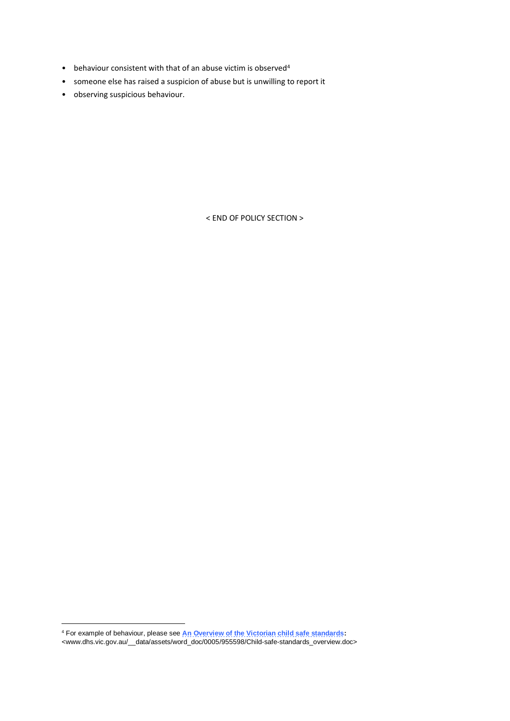- behaviour consistent with that of an abuse victim is observed<sup>4</sup>
- someone else has raised a suspicion of abuse but is unwilling to report it
- observing suspicious behaviour.

< END OF POLICY SECTION >

1

<sup>4</sup> For example of behaviour, please see **[An Overview of the Victorian child safe standards:](http://www.dhs.vic.gov.au/__data/assets/word_doc/0005/955598/Child-safe-standards_overview.doc)** 

<sup>&</sup>lt;www.dhs.vic.gov.au/\_\_data/assets/word\_doc/0005/955598/Child-safe-standards\_overview.doc>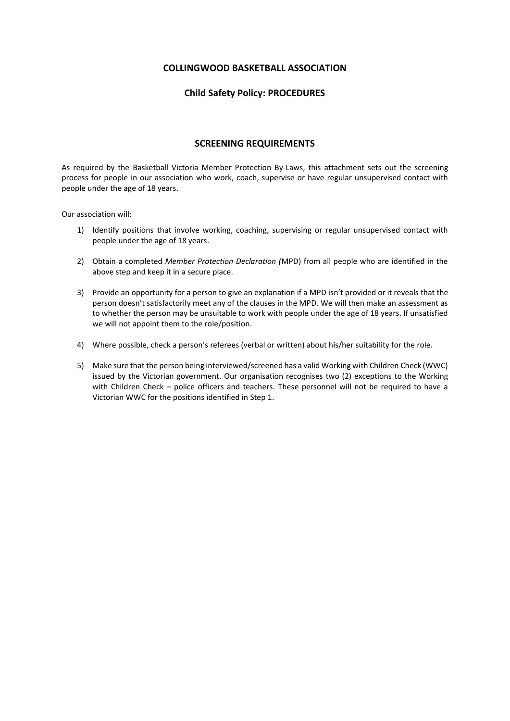### **COLLINGWOOD BASKETBALL ASSOCIATION**

# **Child Safety Policy: PROCEDURES**

### **SCREENING REQUIREMENTS**

As required by the Basketball Victoria Member Protection By-Laws, this attachment sets out the screening process for people in our association who work, coach, supervise or have regular unsupervised contact with people under the age of 18 years.

Our association will:

- 1) Identify positions that involve working, coaching, supervising or regular unsupervised contact with people under the age of 18 years.
- 2) Obtain a completed *Member Protection Declaration (*MPD) from all people who are identified in the above step and keep it in a secure place.
- 3) Provide an opportunity for a person to give an explanation if a MPD isn't provided or it reveals that the person doesn't satisfactorily meet any of the clauses in the MPD. We will then make an assessment as to whether the person may be unsuitable to work with people under the age of 18 years. If unsatisfied we will not appoint them to the role/position.
- 4) Where possible, check a person's referees (verbal or written) about his/her suitability for the role.
- 5) Make sure that the person being interviewed/screened has a valid Working with Children Check (WWC) issued by the Victorian government. Our organisation recognises two (2) exceptions to the Working with Children Check – police officers and teachers. These personnel will not be required to have a Victorian WWC for the positions identified in Step 1.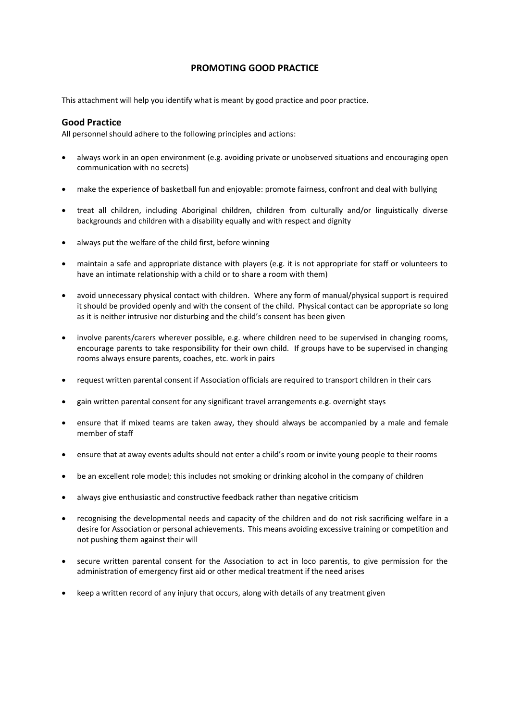# **PROMOTING GOOD PRACTICE**

This attachment will help you identify what is meant by good practice and poor practice.

#### **Good Practice**

All personnel should adhere to the following principles and actions:

- always work in an open environment (e.g. avoiding private or unobserved situations and encouraging open communication with no secrets)
- make the experience of basketball fun and enjoyable: promote fairness, confront and deal with bullying
- treat all children, including Aboriginal children, children from culturally and/or linguistically diverse backgrounds and children with a disability equally and with respect and dignity
- always put the welfare of the child first, before winning
- maintain a safe and appropriate distance with players (e.g. it is not appropriate for staff or volunteers to have an intimate relationship with a child or to share a room with them)
- avoid unnecessary physical contact with children. Where any form of manual/physical support is required it should be provided openly and with the consent of the child. Physical contact can be appropriate so long as it is neither intrusive nor disturbing and the child's consent has been given
- involve parents/carers wherever possible, e.g. where children need to be supervised in changing rooms, encourage parents to take responsibility for their own child. If groups have to be supervised in changing rooms always ensure parents, coaches, etc. work in pairs
- request written parental consent if Association officials are required to transport children in their cars
- gain written parental consent for any significant travel arrangements e.g. overnight stays
- ensure that if mixed teams are taken away, they should always be accompanied by a male and female member of staff
- ensure that at away events adults should not enter a child's room or invite young people to their rooms
- be an excellent role model; this includes not smoking or drinking alcohol in the company of children
- always give enthusiastic and constructive feedback rather than negative criticism
- recognising the developmental needs and capacity of the children and do not risk sacrificing welfare in a desire for Association or personal achievements. This means avoiding excessive training or competition and not pushing them against their will
- secure written parental consent for the Association to act in loco parentis, to give permission for the administration of emergency first aid or other medical treatment if the need arises
- keep a written record of any injury that occurs, along with details of any treatment given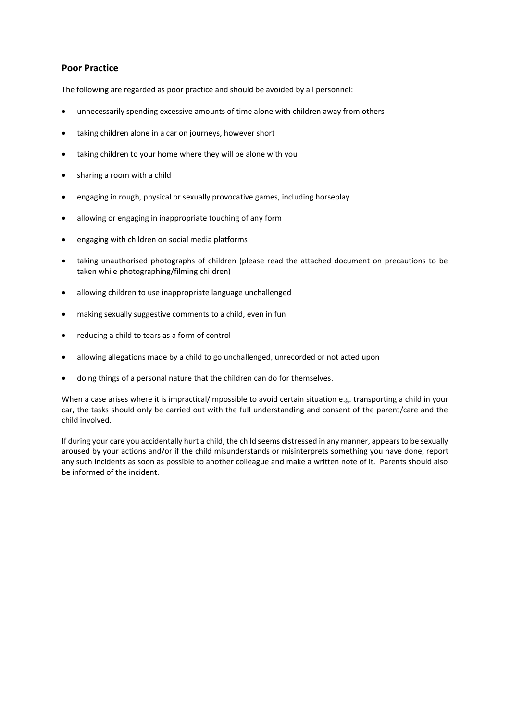### **Poor Practice**

The following are regarded as poor practice and should be avoided by all personnel:

- unnecessarily spending excessive amounts of time alone with children away from others
- taking children alone in a car on journeys, however short
- taking children to your home where they will be alone with you
- sharing a room with a child
- engaging in rough, physical or sexually provocative games, including horseplay
- allowing or engaging in inappropriate touching of any form
- engaging with children on social media platforms
- taking unauthorised photographs of children (please read the attached document on precautions to be taken while photographing/filming children)
- allowing children to use inappropriate language unchallenged
- making sexually suggestive comments to a child, even in fun
- reducing a child to tears as a form of control
- allowing allegations made by a child to go unchallenged, unrecorded or not acted upon
- doing things of a personal nature that the children can do for themselves.

When a case arises where it is impractical/impossible to avoid certain situation e.g. transporting a child in your car, the tasks should only be carried out with the full understanding and consent of the parent/care and the child involved.

If during your care you accidentally hurt a child, the child seems distressed in any manner, appears to be sexually aroused by your actions and/or if the child misunderstands or misinterprets something you have done, report any such incidents as soon as possible to another colleague and make a written note of it. Parents should also be informed of the incident.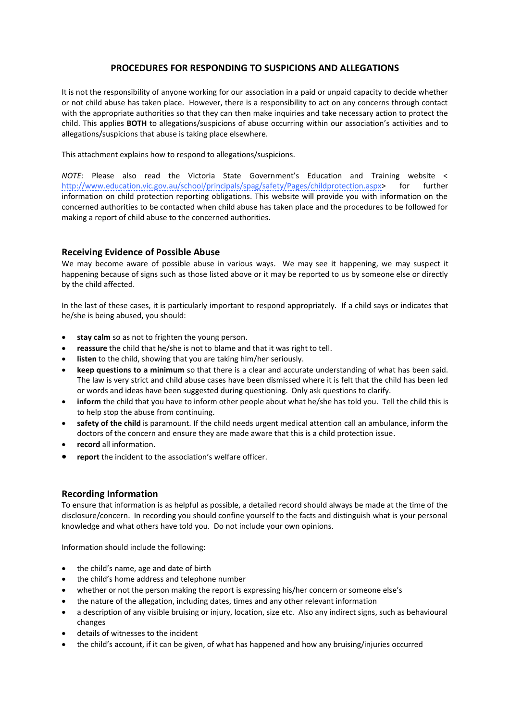# **PROCEDURES FOR RESPONDING TO SUSPICIONS AND ALLEGATIONS**

It is not the responsibility of anyone working for our association in a paid or unpaid capacity to decide whether or not child abuse has taken place. However, there is a responsibility to act on any concerns through contact with the appropriate authorities so that they can then make inquiries and take necessary action to protect the child. This applies **BOTH** to allegations/suspicions of abuse occurring within our association's activities and to allegations/suspicions that abuse is taking place elsewhere.

This attachment explains how to respond to allegations/suspicions.

*NOTE:* Please also read the Victoria State Government's Education and Training website < [http://www.education.vic.gov.au/school/principals/spag/safety/Pages/childprotection.aspx>](http://www.education.vic.gov.au/school/principals/spag/safety/Pages/childprotection.aspx) for further information on child protection reporting obligations. This website will provide you with information on the concerned authorities to be contacted when child abuse has taken place and the procedures to be followed for making a report of child abuse to the concerned authorities.

# **Receiving Evidence of Possible Abuse**

We may become aware of possible abuse in various ways. We may see it happening, we may suspect it happening because of signs such as those listed above or it may be reported to us by someone else or directly by the child affected.

In the last of these cases, it is particularly important to respond appropriately. If a child says or indicates that he/she is being abused, you should:

- **stay calm** so as not to frighten the young person.
- **reassure** the child that he/she is not to blame and that it was right to tell.
- **listen** to the child, showing that you are taking him/her seriously.
- **keep questions to a minimum** so that there is a clear and accurate understanding of what has been said. The law is very strict and child abuse cases have been dismissed where it is felt that the child has been led or words and ideas have been suggested during questioning. Only ask questions to clarify.
- **inform** the child that you have to inform other people about what he/she has told you. Tell the child this is to help stop the abuse from continuing.
- **safety of the child** is paramount. If the child needs urgent medical attention call an ambulance, inform the doctors of the concern and ensure they are made aware that this is a child protection issue.
- **record** all information.
- report the incident to the association's welfare officer.

### **Recording Information**

To ensure that information is as helpful as possible, a detailed record should always be made at the time of the disclosure/concern. In recording you should confine yourself to the facts and distinguish what is your personal knowledge and what others have told you. Do not include your own opinions.

Information should include the following:

- the child's name, age and date of birth
- the child's home address and telephone number
- whether or not the person making the report is expressing his/her concern or someone else's
- the nature of the allegation, including dates, times and any other relevant information
- a description of any visible bruising or injury, location, size etc. Also any indirect signs, such as behavioural changes
- details of witnesses to the incident
- the child's account, if it can be given, of what has happened and how any bruising/injuries occurred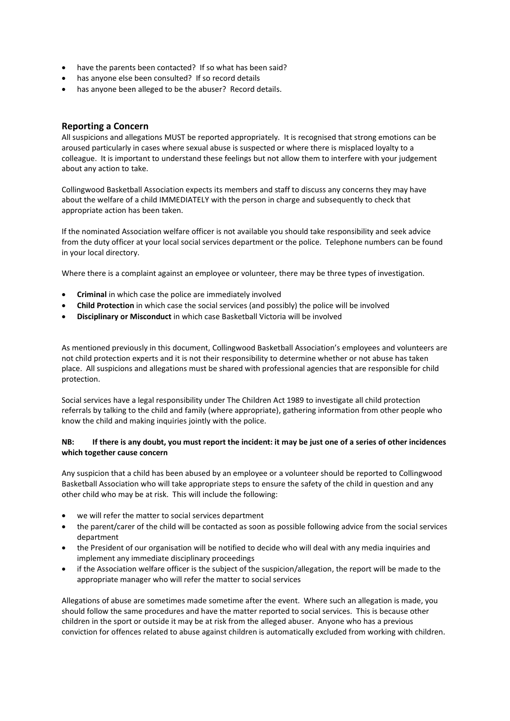- have the parents been contacted?If so what has been said?
- has anyone else been consulted? If so record details
- has anyone been alleged to be the abuser? Record details.

### **Reporting a Concern**

All suspicions and allegations MUST be reported appropriately. It is recognised that strong emotions can be aroused particularly in cases where sexual abuse is suspected or where there is misplaced loyalty to a colleague. It is important to understand these feelings but not allow them to interfere with your judgement about any action to take.

Collingwood Basketball Association expects its members and staff to discuss any concerns they may have about the welfare of a child IMMEDIATELY with the person in charge and subsequently to check that appropriate action has been taken.

If the nominated Association welfare officer is not available you should take responsibility and seek advice from the duty officer at your local social services department or the police. Telephone numbers can be found in your local directory.

Where there is a complaint against an employee or volunteer, there may be three types of investigation.

- **Criminal** in which case the police are immediately involved
- **Child Protection** in which case the social services (and possibly) the police will be involved
- **Disciplinary or Misconduct** in which case Basketball Victoria will be involved

As mentioned previously in this document, Collingwood Basketball Association's employees and volunteers are not child protection experts and it is not their responsibility to determine whether or not abuse has taken place. All suspicions and allegations must be shared with professional agencies that are responsible for child protection.

Social services have a legal responsibility under The Children Act 1989 to investigate all child protection referrals by talking to the child and family (where appropriate), gathering information from other people who know the child and making inquiries jointly with the police.

#### **NB: If there is any doubt, you must report the incident: it may be just one of a series of other incidences which together cause concern**

Any suspicion that a child has been abused by an employee or a volunteer should be reported to Collingwood Basketball Association who will take appropriate steps to ensure the safety of the child in question and any other child who may be at risk. This will include the following:

- we will refer the matter to social services department
- the parent/carer of the child will be contacted as soon as possible following advice from the social services department
- the President of our organisation will be notified to decide who will deal with any media inquiries and implement any immediate disciplinary proceedings
- if the Association welfare officer is the subject of the suspicion/allegation, the report will be made to the appropriate manager who will refer the matter to social services

Allegations of abuse are sometimes made sometime after the event. Where such an allegation is made, you should follow the same procedures and have the matter reported to social services. This is because other children in the sport or outside it may be at risk from the alleged abuser. Anyone who has a previous conviction for offences related to abuse against children is automatically excluded from working with children.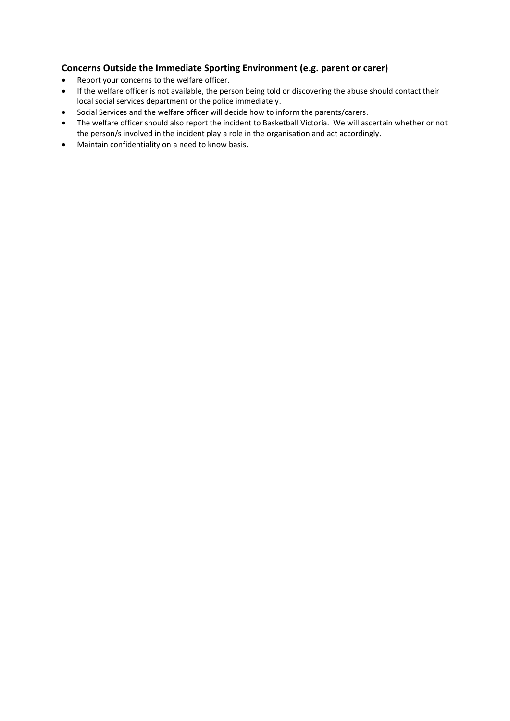# **Concerns Outside the Immediate Sporting Environment (e.g. parent or carer)**

- Report your concerns to the welfare officer.
- If the welfare officer is not available, the person being told or discovering the abuse should contact their local social services department or the police immediately.
- Social Services and the welfare officer will decide how to inform the parents/carers.
- The welfare officer should also report the incident to Basketball Victoria. We will ascertain whether or not the person/s involved in the incident play a role in the organisation and act accordingly.
- Maintain confidentiality on a need to know basis.